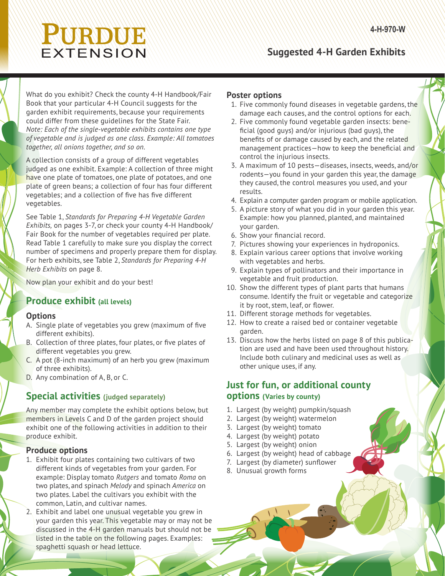# PURDUE EXTENSION

## **Suggested 4-H Garden Exhibits**

What do you exhibit? Check the county 4-H Handbook/Fair Book that your particular 4-H Council suggests for the garden exhibit requirements, because your requirements could differ from these guidelines for the State Fair. *Note: Each of the single-vegetable exhibits contains one type of vegetable and is judged as one class. Example: All tomatoes together, all onions together, and so on.* 

A collection consists of a group of different vegetables judged as one exhibit. Example: A collection of three might have one plate of tomatoes, one plate of potatoes, and one plate of green beans; a collection of four has four different vegetables; and a collection of five has five different vegetables.

See Table 1, *Standards for Preparing 4-H Vegetable Garden Exhibits,* on pages 3-7, or check your county 4-H Handbook/ Fair Book for the number of vegetables required per plate. Read Table 1 carefully to make sure you display the correct number of specimens and properly prepare them for display. For herb exhibits, see Table 2, *Standards for Preparing 4-H Herb Exhibits* on page 8.

Now plan your exhibit and do your best!

#### **Produce exhibit (all levels)**

#### **Options**

- A. Single plate of vegetables you grew (maximum of five different exhibits).
- B. Collection of three plates, four plates, or five plates of different vegetables you grew.
- C. A pot (8-inch maximum) of an herb you grew (maximum of three exhibits).
- D. Any combination of A, B, or C.

#### **Special activities (judged separately)**

Any member may complete the exhibit options below, but members in Levels C and D of the garden project should exhibit one of the following activities in addition to their produce exhibit.

#### **Produce options**

- 1. Exhibit four plates containing two cultivars of two different kinds of vegetables from your garden. For example: Display tomato *Rutgers* and tomato *Roma* on two plates, and spinach *Melody* and spinach *America* on two plates. Label the cultivars you exhibit with the common, Latin, and cultivar names.
- 2. Exhibit and label one unusual vegetable you grew in your garden this year. This vegetable may or may not be discussed in the 4-H garden manuals but should not be listed in the table on the following pages. Examples: spaghetti squash or head lettuce.

#### **Poster options**

- 1. Five commonly found diseases in vegetable gardens, the damage each causes, and the control options for each.
- 2. Five commonly found vegetable garden insects: beneficial (good guys) and/or injurious (bad guys), the benefits of or damage caused by each, and the related management practices-how to keep the beneficial and control the injurious insects.
- 3. A maximum of 10 pests—diseases, insects, weeds, and/or rodents—you found in your garden this year, the damage they caused, the control measures you used, and your results.
- 4. Explain a computer garden program or mobile application.
- 5. A picture story of what you did in your garden this year. Example: how you planned, planted, and maintained your garden.
- 6. Show your financial record.
- 7. Pictures showing your experiences in hydroponics.
- 8. Explain various career options that involve working with vegetables and herbs.
- 9. Explain types of pollinators and their importance in vegetable and fruit production.
- 10. Show the different types of plant parts that humans consume. Identify the fruit or vegetable and categorize it by root, stem, leaf, or flower.
- 11. Different storage methods for vegetables.
- 12. How to create a raised bed or container vegetable garden.
- 13. Discuss how the herbs listed on page 8 of this publication are used and have been used throughout history. Include both culinary and medicinal uses as well as other unique uses, if any.

#### **Just for fun, or additional county options (Varies by county)**

- 1. Largest (by weight) pumpkin/squash
- 2. Largest (by weight) watermelon
- 3. Largest (by weight) tomato
- 4. Largest (by weight) potato
- 5. Largest (by weight) onion
- 6. Largest (by weight) head of cabbage
- 7. Largest (by diameter) sunflower
- 8. Unusual growth forms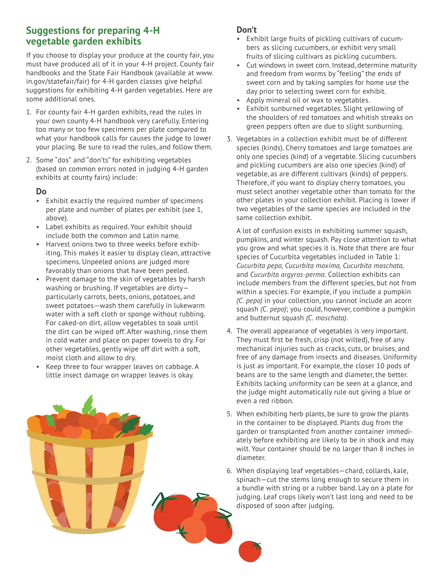#### **Suggestions for preparing 4-H vegetable garden exhibits**

If you choose to display your produce at the county fair, you must have produced all of it in your 4-H project. County fair handbooks and the State Fair Handbook (available at www. in.gov/statefair/fair) for 4-H garden classes give helpful suggestions for exhibiting 4-H garden vegetables. Here are some additional ones.

- 1. For county fair 4-H garden exhibits, read the rules in your own county 4-H handbook very carefully. Entering too many or too few specimens per plate compared to what your handbook calls for causes the judge to lower your placing. Be sure to read the rules, and follow them.
- 2. Some "dos" and "don'ts" for exhibiting vegetables (based on common errors noted in judging 4-H garden exhibits at county fairs) include:

#### **Do**

- Exhibit exactly the required number of specimens per plate and number of plates per exhibit (see 1, above).
- Label exhibits as required. Your exhibit should include both the common and Latin name.
- Harvest onions two to three weeks before exhibiting. This makes it easier to display clean, attractive specimens. Unpeeled onions are judged more favorably than onions that have been peeled.
- Prevent damage to the skin of vegetables by harsh washing or brushing. If vegetables are dirty particularly carrots, beets, onions, potatoes, and sweet potatoes—wash them carefully in lukewarm water with a soft cloth or sponge without rubbing. For caked-on dirt, allow vegetables to soak until the dirt can be wiped off. After washing, rinse them in cold water and place on paper towels to dry. For other vegetables, gently wipe off dirt with a soft, moist cloth and allow to dry.

# • Keep three to four wrapper leaves on cabbage. A little insect damage on wrapper leaves is okay.

#### **Don't**

- Exhibit large fruits of pickling cultivars of cucumbers as slicing cucumbers, or exhibit very small fruits of slicing cultivars as pickling cucumbers.
- Cut windows in sweet corn. Instead, determine maturity and freedom from worms by "feeling" the ends of sweet corn and by taking samples for home use the day prior to selecting sweet corn for exhibit.
- Apply mineral oil or wax to vegetables.
- Exhibit sunburned vegetables. Slight yellowing of the shoulders of red tomatoes and whitish streaks on green peppers often are due to slight sunburning.
- 3. Vegetables in a collection exhibit must be of different species (kinds). Cherry tomatoes and large tomatoes are only one species (kind) of a vegetable. Slicing cucumbers and pickling cucumbers are also one species (kind) of vegetable, as are different cultivars (kinds) of peppers. Therefore, if you want to display cherry tomatoes, you must select another vegetable other than tomato for the other plates in your collection exhibit. Placing is lower if two vegetables of the same species are included in the same collection exhibit.

A lot of confusion exists in exhibiting summer squash, pumpkins, and winter squash. Pay close attention to what you grow and what species it is. Note that there are four species of Cucurbita vegetables included in Table 1: *Cucurbita pepo, Cucurbita maxima, Cucurbita moschata,* and *Cucurbita argyros-perma.* Collection exhibits can include members from the different species, but not from within a species. For example, if you include a pumpkin *(C. pepo)* in your collection, you cannot include an acorn squash *(C. pepo)*; you could, however, combine a pumpkin and butternut squash *(C. moschata)*.

- 4. The overall appearance of vegetables is very important. They must first be fresh, crisp (not wilted), free of any mechanical injuries such as cracks, cuts, or bruises, and free of any damage from insects and diseases. Uniformity is just as important. For example, the closer 10 pods of beans are to the same length and diameter, the better. Exhibits lacking uniformity can be seen at a glance, and the judge might automatically rule out giving a blue or even a red ribbon.
- 5. When exhibiting herb plants, be sure to grow the plants in the container to be displayed. Plants dug from the garden or transplanted from another container immediately before exhibiting are likely to be in shock and may wilt. Your container should be no larger than 8 inches in diameter.
- 6. When displaying leaf vegetables—chard, collards, kale, spinach—cut the stems long enough to secure them in a bundle with string or a rubber band. Lay on a plate for judging. Leaf crops likely won't last long and need to be disposed of soon after judging.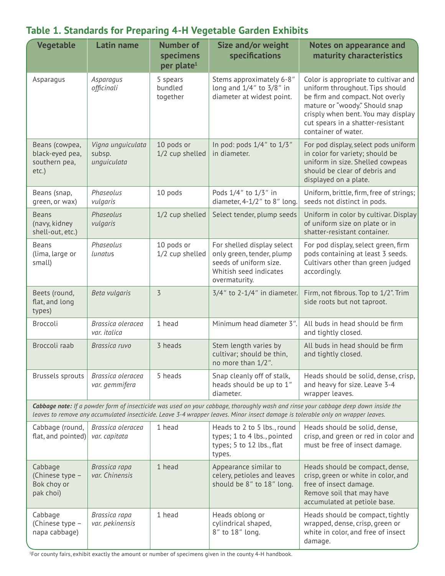| <b>Vegetable</b>                                                                                                                                                                                                                                                        | <b>Latin name</b>                          | <b>Number of</b><br>specimens<br>per plate <sup>1</sup> | Size and/or weight<br>specifications                                                                                         | <b>Notes on appearance and</b><br>maturity characteristics                                                                                                                                                                                     |
|-------------------------------------------------------------------------------------------------------------------------------------------------------------------------------------------------------------------------------------------------------------------------|--------------------------------------------|---------------------------------------------------------|------------------------------------------------------------------------------------------------------------------------------|------------------------------------------------------------------------------------------------------------------------------------------------------------------------------------------------------------------------------------------------|
| Asparagus                                                                                                                                                                                                                                                               | Asparagus<br>officinali                    | 5 spears<br>bundled<br>together                         | Stems approximately 6-8"<br>long and $1/4$ " to $3/8$ " in<br>diameter at widest point.                                      | Color is appropriate to cultivar and<br>uniform throughout. Tips should<br>be firm and compact. Not overly<br>mature or "woody." Should snap<br>crisply when bent. You may display<br>cut spears in a shatter-resistant<br>container of water. |
| Beans (cowpea,<br>black-eyed pea,<br>southern pea,<br>etc.)                                                                                                                                                                                                             | Vigna unguiculata<br>subsp.<br>unguiculata | 10 pods or<br>1/2 cup shelled                           | In pod: pods 1/4" to 1/3"<br>in diameter.                                                                                    | For pod display, select pods uniform<br>in color for variety; should be<br>uniform in size. Shelled cowpeas<br>should be clear of debris and<br>displayed on a plate.                                                                          |
| Beans (snap,<br>green, or wax)                                                                                                                                                                                                                                          | Phaseolus<br>vulgaris                      | 10 pods                                                 | Pods 1/4" to 1/3" in<br>diameter, 4-1/2" to 8" long.                                                                         | Uniform, brittle, firm, free of strings;<br>seeds not distinct in pods.                                                                                                                                                                        |
| <b>Beans</b><br>(navy, kidney<br>shell-out, etc.)                                                                                                                                                                                                                       | Phaseolus<br>vulgaris                      | 1/2 cup shelled                                         | Select tender, plump seeds                                                                                                   | Uniform in color by cultivar. Display<br>of uniform size on plate or in<br>shatter-resistant container.                                                                                                                                        |
| <b>Beans</b><br>(lima, large or<br>small)                                                                                                                                                                                                                               | Phaseolus<br>lunatus                       | 10 pods or<br>1/2 cup shelled                           | For shelled display select<br>only green, tender, plump<br>seeds of uniform size.<br>Whitish seed indicates<br>overmaturity. | For pod display, select green, firm<br>pods containing at least 3 seeds.<br>Cultivars other than green judged<br>accordingly.                                                                                                                  |
| Beets (round,<br>flat, and long<br>types)                                                                                                                                                                                                                               | Beta vulgaris                              | $\overline{3}$                                          | $3/4$ " to 2-1/4" in diameter.                                                                                               | Firm, not fibrous. Top to 1/2". Trim<br>side roots but not taproot.                                                                                                                                                                            |
| Broccoli                                                                                                                                                                                                                                                                | Brassica oleracea<br>var. italica          | 1 head                                                  | Minimum head diameter 3".                                                                                                    | All buds in head should be firm<br>and tightly closed.                                                                                                                                                                                         |
| Broccoli raab                                                                                                                                                                                                                                                           | Brassica ruvo                              | 3 heads                                                 | Stem length varies by<br>cultivar; should be thin,<br>no more than 1/2".                                                     | All buds in head should be firm<br>and tightly closed.                                                                                                                                                                                         |
| <b>Brussels sprouts</b>                                                                                                                                                                                                                                                 | Brassica oleracea<br>var. gemmifera        | 5 heads                                                 | Snap cleanly off of stalk,<br>heads should be up to 1"<br>diameter.                                                          | Heads should be solid, dense, crisp,<br>and heavy for size. Leave 3-4<br>wrapper leaves.                                                                                                                                                       |
| Cabbage note: If a powder form of insecticide was used on your cabbage, thoroughly wash and rinse your cabbage deep down inside the<br>leaves to remove any accumulated insecticide. Leave 3-4 wrapper leaves. Minor insect damage is tolerable only on wrapper leaves. |                                            |                                                         |                                                                                                                              |                                                                                                                                                                                                                                                |
| Cabbage (round,<br>flat, and pointed)                                                                                                                                                                                                                                   | Brassica oleracea<br>var. capitata         | 1 head                                                  | Heads to 2 to 5 lbs., round<br>types; 1 to 4 lbs., pointed<br>types; 5 to 12 lbs., flat<br>types.                            | Heads should be solid, dense,<br>crisp, and green or red in color and<br>must be free of insect damage.                                                                                                                                        |
| Cabbage<br>(Chinese type -<br>Bok choy or<br>pak choi)                                                                                                                                                                                                                  | Brassica rapa<br>var. Chinensis            | 1 head                                                  | Appearance similar to<br>celery, petioles and leaves<br>should be 8" to 18" long.                                            | Heads should be compact, dense,<br>crisp, green or white in color, and<br>free of insect damage.<br>Remove soil that may have<br>accumulated at petiole base.                                                                                  |
| Cabbage<br>(Chinese type -<br>napa cabbage)                                                                                                                                                                                                                             | Brassica rapa<br>var. pekinensis           | 1 head                                                  | Heads oblong or<br>cylindrical shaped,<br>8" to 18" long.                                                                    | Heads should be compact, tightly<br>wrapped, dense, crisp, green or<br>white in color, and free of insect<br>damage.                                                                                                                           |

# **Table 1. Standards for Preparing 4-H Vegetable Garden Exhibits**

1 For county fairs, exhibit exactly the amount or number of specimens given in the county 4-H handbook.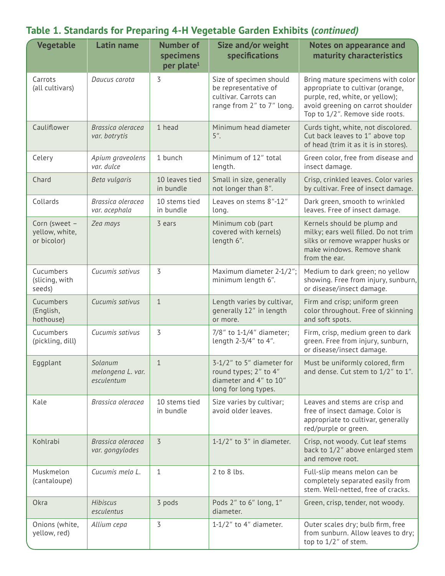| <b>Vegetable</b>                               | <b>Latin name</b>                          | <b>Number of</b><br>specimens<br>per plate <sup>1</sup> | Size and/or weight<br>specifications                                                                  | <b>Notes on appearance and</b><br>maturity characteristics                                                                                                                       |
|------------------------------------------------|--------------------------------------------|---------------------------------------------------------|-------------------------------------------------------------------------------------------------------|----------------------------------------------------------------------------------------------------------------------------------------------------------------------------------|
| Carrots<br>(all cultivars)                     | Daucus carota                              | 3                                                       | Size of specimen should<br>be representative of<br>cultivar. Carrots can<br>range from 2" to 7" long. | Bring mature specimens with color<br>appropriate to cultivar (orange,<br>purple, red, white, or yellow);<br>avoid greening on carrot shoulder<br>Top to 1/2". Remove side roots. |
| Cauliflower                                    | Brassica oleracea<br>var. botrytis         | 1 head                                                  | Minimum head diameter<br>$5$ ".                                                                       | Curds tight, white, not discolored.<br>Cut back leaves to 1" above top<br>of head (trim it as it is in stores).                                                                  |
| Celery                                         | Apium graveolens<br>var. dulce             | 1 bunch                                                 | Minimum of 12" total<br>length.                                                                       | Green color, free from disease and<br>insect damage.                                                                                                                             |
| Chard                                          | Beta vulgaris                              | 10 leaves tied<br>in bundle                             | Small in size, generally<br>not longer than 8".                                                       | Crisp, crinkled leaves. Color varies<br>by cultivar. Free of insect damage.                                                                                                      |
| Collards                                       | Brassica oleracea<br>var. acephala         | 10 stems tied<br>in bundle                              | Leaves on stems 8"-12"<br>long.                                                                       | Dark green, smooth to wrinkled<br>leaves. Free of insect damage.                                                                                                                 |
| Corn (sweet -<br>yellow, white,<br>or bicolor) | Zea mays                                   | 3 ears                                                  | Minimum cob (part<br>covered with kernels)<br>length 6".                                              | Kernels should be plump and<br>milky; ears well filled. Do not trim<br>silks or remove wrapper husks or<br>make windows. Remove shank<br>from the ear.                           |
| Cucumbers<br>(slicing, with<br>seeds)          | Cucumis sativus                            | 3                                                       | Maximum diameter 2-1/2";<br>minimum length 6".                                                        | Medium to dark green; no yellow<br>showing. Free from injury, sunburn,<br>or disease/insect damage.                                                                              |
| Cucumbers<br>(English,<br>hothouse)            | Cucumis sativus                            | $\mathbf{1}$                                            | Length varies by cultivar,<br>generally 12" in length<br>or more.                                     | Firm and crisp; uniform green<br>color throughout. Free of skinning<br>and soft spots.                                                                                           |
| Cucumbers<br>(pickling, dill)                  | Cucumis sativus                            | 3                                                       | 7/8" to 1-1/4" diameter;<br>length 2-3/4" to 4".                                                      | Firm, crisp, medium green to dark<br>green. Free from injury, sunburn,<br>or disease/insect damage.                                                                              |
| Eggplant                                       | Solanum<br>melongena L. var.<br>esculentum | 1                                                       | 3-1/2" to 5" diameter for<br>round types; 2" to 4"<br>diameter and 4" to 10"<br>long for long types.  | Must be uniformly colored, firm<br>and dense. Cut stem to 1/2" to 1".                                                                                                            |
| Kale                                           | Brassica oleracea                          | 10 stems tied<br>in bundle                              | Size varies by cultivar;<br>avoid older leaves.                                                       | Leaves and stems are crisp and<br>free of insect damage. Color is<br>appropriate to cultivar, generally<br>red/purple or green.                                                  |
| Kohlrabi                                       | Brassica oleracea<br>var. gongylodes       | $\overline{5}$                                          | $1-1/2$ " to 3" in diameter.                                                                          | Crisp, not woody. Cut leaf stems<br>back to 1/2" above enlarged stem<br>and remove root.                                                                                         |
| Muskmelon<br>(cantaloupe)                      | Cucumis melo L.                            | 1                                                       | 2 to 8 lbs.                                                                                           | Full-slip means melon can be<br>completely separated easily from<br>stem. Well-netted, free of cracks.                                                                           |
| Okra                                           | Hibiscus<br>esculentus                     | 3 pods                                                  | Pods 2" to 6" long, 1"<br>diameter.                                                                   | Green, crisp, tender, not woody.                                                                                                                                                 |
| Onions (white,<br>yellow, red)                 | Allium cepa                                | 3                                                       | $1-1/2$ " to 4" diameter.                                                                             | Outer scales dry; bulb firm, free<br>from sunburn. Allow leaves to dry;<br>top to 1/2" of stem.                                                                                  |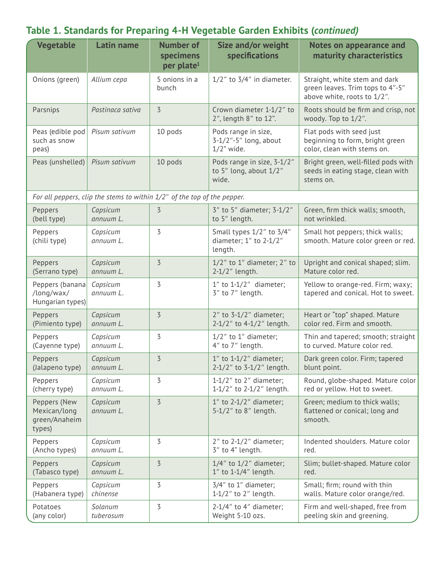#### **Table 1. Standards for Preparing 4-H Vegetable Garden Exhibits (***continued)*

| <b>Vegetable</b>                                        | <b>Latin name</b>                                                        | <b>Number of</b><br>specimens<br>per plate <sup>1</sup> | <b>Size and/or weight</b><br>specifications                         | <b>Notes on appearance and</b><br>maturity characteristics                                       |
|---------------------------------------------------------|--------------------------------------------------------------------------|---------------------------------------------------------|---------------------------------------------------------------------|--------------------------------------------------------------------------------------------------|
| Onions (green)                                          | Allium cepa                                                              | 5 onions in a<br>bunch                                  | $1/2$ " to $3/4$ " in diameter.                                     | Straight, white stem and dark<br>green leaves. Trim tops to 4"-5"<br>above white, roots to 1/2". |
| Parsnips                                                | Pastinaca sativa                                                         | $\overline{3}$                                          | Crown diameter 1-1/2" to<br>2", length 8" to 12".                   | Roots should be firm and crisp, not<br>woody. Top to 1/2".                                       |
| Peas (edible pod<br>such as snow<br>peas)               | Pisum sativum                                                            | 10 pods                                                 | Pods range in size,<br>$3-1/2$ "-5" long, about<br>$1/2$ " wide.    | Flat pods with seed just<br>beginning to form, bright green<br>color, clean with stems on.       |
| Peas (unshelled)                                        | Pisum sativum                                                            | 10 pods                                                 | Pods range in size, 3-1/2"<br>to 5" long, about 1/2"<br>wide.       | Bright green, well-filled pods with<br>seeds in eating stage, clean with<br>stems on.            |
|                                                         | For all peppers, clip the stems to within 1/2" of the top of the pepper. |                                                         |                                                                     |                                                                                                  |
| Peppers                                                 | Capsicum                                                                 | $\overline{3}$                                          | 3" to 5" diameter; 3-1/2"                                           | Green, firm thick walls; smooth,                                                                 |
| (bell type)                                             | annuum L.                                                                |                                                         | to 5" length.                                                       | not wrinkled.                                                                                    |
| Peppers<br>(chili type)                                 | Capsicum<br>annuum L.                                                    | $\overline{3}$                                          | Small types 1/2" to 3/4"<br>diameter; $1''$ to $2-1/2''$<br>length. | Small hot peppers; thick walls;<br>smooth. Mature color green or red.                            |
| Peppers                                                 | Capsicum                                                                 | $\overline{3}$                                          | $1/2$ " to $1$ " diameter; $2$ " to                                 | Upright and conical shaped; slim.                                                                |
| (Serrano type)                                          | annuum L.                                                                |                                                         | $2-1/2$ " length.                                                   | Mature color red.                                                                                |
| Peppers (banana<br>/long/wax/<br>Hungarian types)       | Capsicum<br>annuum L.                                                    | $\overline{3}$                                          | $1''$ to $1-1/2''$ diameter;<br>3" to 7" length.                    | Yellow to orange-red. Firm; waxy;<br>tapered and conical. Hot to sweet.                          |
| Peppers                                                 | Capsicum                                                                 | $\overline{3}$                                          | $2''$ to $3-1/2''$ diameter;                                        | Heart or "top" shaped. Mature                                                                    |
| (Pimiento type)                                         | annuum L.                                                                |                                                         | 2-1/2" to 4-1/2" length.                                            | color red. Firm and smooth.                                                                      |
| Peppers                                                 | Capsicum                                                                 | 3                                                       | $1/2$ " to $1$ " diameter;                                          | Thin and tapered; smooth; straight                                                               |
| (Cayenne type)                                          | annuum L.                                                                |                                                         | 4" to 7" length.                                                    | to curved. Mature color red.                                                                     |
| Peppers                                                 | Capsicum                                                                 | $\overline{3}$                                          | $1''$ to $1-1/2''$ diameter;                                        | Dark green color. Firm; tapered                                                                  |
| (Jalapeno type)                                         | annuum L.                                                                |                                                         | 2-1/2" to 3-1/2" length.                                            | blunt point.                                                                                     |
| Peppers                                                 | Capsicum                                                                 | 3                                                       | $1-1/2$ " to 2" diameter;                                           | Round, globe-shaped. Mature color                                                                |
| (cherry type)                                           | annuum L.                                                                |                                                         | 1-1/2" to $2-1/2$ " length.                                         | red or yellow. Hot to sweet.                                                                     |
| Peppers (New<br>Mexican/long<br>green/Anaheim<br>types) | Capsicum<br>annuum L.                                                    | $\overline{3}$                                          | $1''$ to $2-1/2''$ diameter;<br>5-1/2" to 8" length.                | Green; medium to thick walls;<br>flattened or conical; long and<br>smooth.                       |
| Peppers                                                 | Capsicum                                                                 | $\overline{3}$                                          | $2''$ to $2-1/2''$ diameter;                                        | Indented shoulders. Mature color                                                                 |
| (Ancho types)                                           | annuum L.                                                                |                                                         | 3" to 4" length.                                                    | red.                                                                                             |
| Peppers                                                 | Capsicum                                                                 | $\overline{3}$                                          | $1/4$ " to $1/2$ " diameter;                                        | Slim; bullet-shaped. Mature color                                                                |
| (Tabasco type)                                          | annuum L.                                                                |                                                         | $1''$ to $1-1/4''$ length.                                          | red.                                                                                             |
| Peppers                                                 | Capsicum                                                                 | 3                                                       | $3/4$ " to $1$ " diameter;                                          | Small; firm; round with thin                                                                     |
| (Habanera type)                                         | chinense                                                                 |                                                         | $1-1/2$ " to $2$ " length.                                          | walls. Mature color orange/red.                                                                  |
| Potatoes                                                | Solanum                                                                  | $\overline{3}$                                          | $2-1/4$ " to $4$ " diameter;                                        | Firm and well-shaped, free from                                                                  |
| (any color)                                             | tuberosum                                                                |                                                         | Weight 5-10 ozs.                                                    | peeling skin and greening.                                                                       |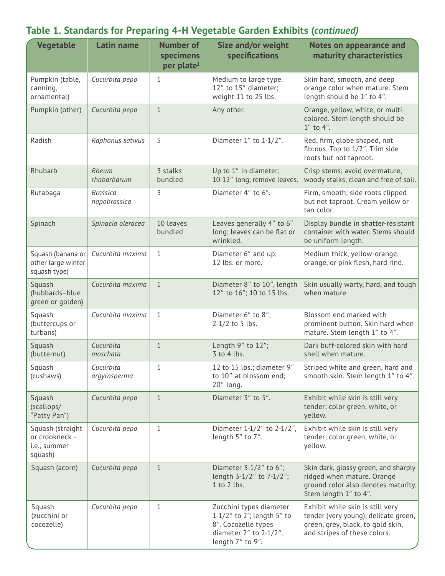# **Table 1. Standards for Preparing 4-H Vegetable Garden Exhibits (***continued)*

| <b>Vegetable</b>                                              | <b>Latin name</b>               | <b>Number of</b><br>specimens<br>per plate <sup>1</sup> | <b>Size and/or weight</b><br>specifications                                                                                       | <b>Notes on appearance and</b><br>maturity characteristics                                                                                    |
|---------------------------------------------------------------|---------------------------------|---------------------------------------------------------|-----------------------------------------------------------------------------------------------------------------------------------|-----------------------------------------------------------------------------------------------------------------------------------------------|
| Pumpkin (table,<br>canning,<br>ornamental)                    | Cucurbita pepo                  | $\mathbf{1}$                                            | Medium to large type.<br>12" to 15" diameter;<br>weight 11 to 25 lbs.                                                             | Skin hard, smooth, and deep<br>orange color when mature. Stem<br>length should be 1" to 4".                                                   |
| Pumpkin (other)                                               | Cucurbita pepo                  | $\mathbf{1}$                                            | Any other.                                                                                                                        | Orange, yellow, white, or multi-<br>colored. Stem length should be<br>$1''$ to $4''$ .                                                        |
| Radish                                                        | Raphanus sativus                | 5                                                       | Diameter 1" to 1-1/2".                                                                                                            | Red, firm, globe shaped, not<br>fibrous. Top to 1/2". Trim side<br>roots but not taproot.                                                     |
| Rhubarb                                                       | Rheum<br>rhabarbarum            | 3 stalks<br>bundled                                     | Up to 1" in diameter;<br>10-12" long; remove leaves.                                                                              | Crisp stems; avoid overmature,<br>woody stalks; clean and free of soil.                                                                       |
| Rutabaga                                                      | <b>Brassica</b><br>napobrassica | 3                                                       | Diameter 4" to 6".                                                                                                                | Firm, smooth; side roots clipped<br>but not taproot. Cream yellow or<br>tan color.                                                            |
| Spinach                                                       | Spinacia oleracea               | 10 leaves<br>bundled                                    | Leaves generally 4" to 6"<br>long; leaves can be flat or<br>wrinkled.                                                             | Display bundle in shatter-resistant<br>container with water. Stems should<br>be uniform length.                                               |
| Squash (banana or<br>other large winter<br>squash type)       | Cucurbita maxima                | $\mathbf{1}$                                            | Diameter 6" and up;<br>12 lbs. or more.                                                                                           | Medium thick, yellow-orange,<br>orange, or pink flesh, hard rind.                                                                             |
| Squash<br>(hubbards-blue<br>green or golden)                  | Cucurbita maxima                | $\mathbf{1}$                                            | Diameter 8" to 10", length<br>12" to 16"; 10 to 15 lbs.                                                                           | Skin usually warty, hard, and tough<br>when mature                                                                                            |
| Squash<br>(buttercups or<br>turbans)                          | Cucurbita maxima                | $\mathbf{1}$                                            | Diameter 6" to 8";<br>$2-1/2$ to 5 lbs.                                                                                           | Blossom end marked with<br>prominent button. Skin hard when<br>mature. Stem length 1" to 4".                                                  |
| Squash<br>(butternut)                                         | Cucurbita<br>moschata           | $\mathbf{1}$                                            | Length 9" to 12";<br>$3$ to 4 lbs.                                                                                                | Dark buff-colored skin with hard<br>shell when mature.                                                                                        |
| Squash<br>(cushaws)                                           | Cucurbita<br>argyrosperma       | $1\,$                                                   | 12 to 15 lbs.; diameter 9"<br>to 10" at blossom end;<br>20" long.                                                                 | Striped white and green, hard and<br>smooth skin. Stem length 1" to 4".                                                                       |
| Squash<br>(scallops/<br>"Patty Pan")                          | Cucurbita pepo                  | $\mathbf{1}$                                            | Diameter 3" to 5".                                                                                                                | Exhibit while skin is still very<br>tender; color green, white, or<br>yellow.                                                                 |
| Squash (straight<br>or crookneck -<br>i.e., summer<br>squash) | Cucurbita pepo                  | $\mathbf{1}$                                            | Diameter 1-1/2" to 2-1/2",<br>length 5" to 7".                                                                                    | Exhibit while skin is still very<br>tender; color green, white, or<br>yellow.                                                                 |
| Squash (acorn)                                                | Cucurbita pepo                  | $\mathbf{1}$                                            | Diameter $3-1/2$ " to 6";<br>length 3-1/2" to 7-1/2";<br>$1$ to $2$ lbs.                                                          | Skin dark, glossy green, and sharply<br>ridged when mature. Orange<br>ground color also denotes maturity.<br>Stem length 1" to 4".            |
| Squash<br>(zucchini or<br>cocozelle)                          | Cucurbita pepo                  | $\mathbf{1}$                                            | Zucchini types diameter<br>1 1/2" to 2"; length 5" to<br>8". Cocozelle types<br>diameter $2''$ to $2-1/2''$ ,<br>length 7" to 9". | Exhibit while skin is still very<br>tender (very young); delicate green,<br>green, grey, black, to gold skin,<br>and stripes of these colors. |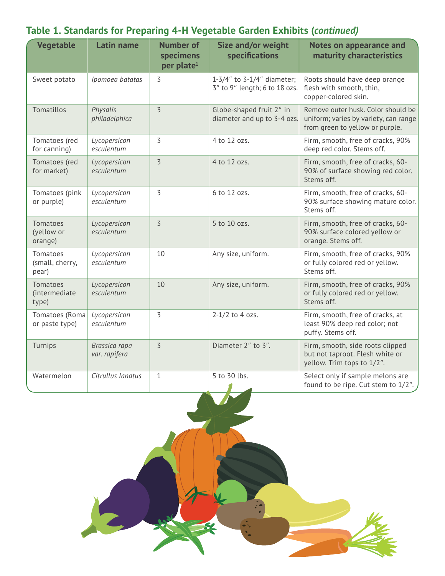| <b>Vegetable</b>                          | <b>Latin name</b>              | <b>Number of</b><br>specimens<br>per plate <sup>1</sup> | Size and/or weight<br>specifications                        | <b>Notes on appearance and</b><br>maturity characteristics                                                     |
|-------------------------------------------|--------------------------------|---------------------------------------------------------|-------------------------------------------------------------|----------------------------------------------------------------------------------------------------------------|
| Sweet potato                              | Ipomoea batatas                | $\overline{3}$                                          | 1-3/4" to 3-1/4" diameter;<br>3" to 9" length; 6 to 18 ozs. | Roots should have deep orange<br>flesh with smooth, thin,<br>copper-colored skin.                              |
| Tomatillos                                | Physalis<br>philadelphica      | $\overline{3}$                                          | Globe-shaped fruit 2" in<br>diameter and up to 3-4 ozs.     | Remove outer husk. Color should be<br>uniform; varies by variety, can range<br>from green to yellow or purple. |
| Tomatoes (red<br>for canning)             | Lycopersicon<br>esculentum     | $\overline{3}$                                          | 4 to 12 ozs.                                                | Firm, smooth, free of cracks, 90%<br>deep red color. Stems off.                                                |
| Tomatoes (red<br>for market)              | Lycopersicon<br>esculentum     | $\overline{3}$                                          | 4 to 12 ozs.                                                | Firm, smooth, free of cracks, 60-<br>90% of surface showing red color.<br>Stems off.                           |
| Tomatoes (pink<br>or purple)              | Lycopersicon<br>esculentum     | 3                                                       | 6 to 12 ozs.                                                | Firm, smooth, free of cracks, 60-<br>90% surface showing mature color.<br>Stems off.                           |
| Tomatoes<br>(yellow or<br>orange)         | Lycopersicon<br>esculentum     | $\overline{3}$                                          | 5 to 10 ozs.                                                | Firm, smooth, free of cracks, 60-<br>90% surface colored yellow or<br>orange. Stems off.                       |
| Tomatoes<br>(small, cherry,<br>pear)      | Lycopersicon<br>esculentum     | 10                                                      | Any size, uniform.                                          | Firm, smooth, free of cracks, 90%<br>or fully colored red or yellow.<br>Stems off.                             |
| <b>Tomatoes</b><br>(intermediate<br>type) | Lycopersicon<br>esculentum     | 10                                                      | Any size, uniform.                                          | Firm, smooth, free of cracks, 90%<br>or fully colored red or yellow.<br>Stems off.                             |
| Tomatoes (Roma<br>or paste type)          | Lycopersicon<br>esculentum     | 3                                                       | $2-1/2$ to 4 ozs.                                           | Firm, smooth, free of cracks, at<br>least 90% deep red color; not<br>puffy. Stems off.                         |
| Turnips                                   | Brassica rapa<br>var. rapifera | $\overline{3}$                                          | Diameter 2" to 3".                                          | Firm, smooth, side roots clipped<br>but not taproot. Flesh white or<br>yellow. Trim tops to 1/2".              |
| Watermelon                                | Citrullus lanatus              | $\mathbf{1}$                                            | 5 to 30 lbs.<br>$\blacksquare$                              | Select only if sample melons are<br>found to be ripe. Cut stem to 1/2".                                        |

# **Table 1. Standards for Preparing 4-H Vegetable Garden Exhibits (***continued)*